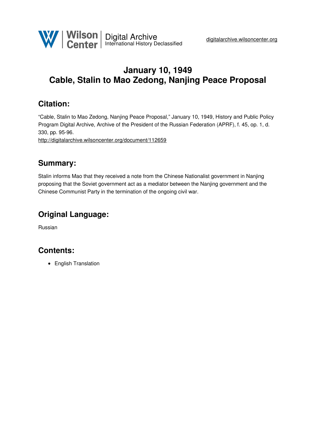

# **January 10, 1949 Cable, Stalin to Mao Zedong, Nanjing Peace Proposal**

## **Citation:**

"Cable, Stalin to Mao Zedong, Nanjing Peace Proposal," January 10, 1949, History and Public Policy Program Digital Archive, Archive of the President of the Russian Federation (APRF), f. 45, op. 1, d. 330, pp. 95-96.

<http://digitalarchive.wilsoncenter.org/document/112659>

#### **Summary:**

Stalin informs Mao that they received a note from the Chinese Nationalist government in Nanjing proposing that the Soviet government act as a mediator between the Nanjing government and the Chinese Communist Party in the termination of the ongoing civil war.

## **Original Language:**

Russian

## **Contents:**

• English Translation